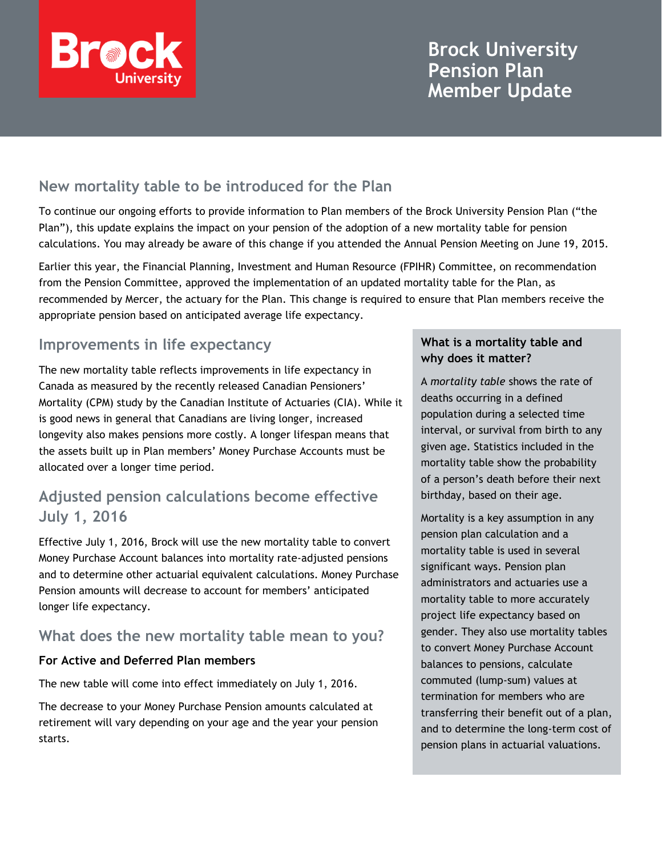

# **Brock University Pension Plan Member Update**

## **New mortality table to be introduced for the Plan**

To continue our ongoing efforts to provide information to Plan members of the Brock University Pension Plan ("the Plan"), this update explains the impact on your pension of the adoption of a new mortality table for pension calculations. You may already be aware of this change if you attended the Annual Pension Meeting on June 19, 2015.

Earlier this year, the Financial Planning, Investment and Human Resource (FPIHR) Committee, on recommendation from the Pension Committee, approved the implementation of an updated mortality table for the Plan, as recommended by Mercer, the actuary for the Plan. This change is required to ensure that Plan members receive the appropriate pension based on anticipated average life expectancy.

## **Improvements in life expectancy**

The new mortality table reflects improvements in life expectancy in Canada as measured by the recently released Canadian Pensioners' Mortality (CPM) study by the Canadian Institute of Actuaries (CIA). While it is good news in general that Canadians are living longer, increased longevity also makes pensions more costly. A longer lifespan means that the assets built up in Plan members' Money Purchase Accounts must be allocated over a longer time period.

## **Adjusted pension calculations become effective July 1, 2016**

Effective July 1, 2016, Brock will use the new mortality table to convert Money Purchase Account balances into mortality rate-adjusted pensions and to determine other actuarial equivalent calculations. Money Purchase Pension amounts will decrease to account for members' anticipated longer life expectancy.

### **What does the new mortality table mean to you?**

### **For Active and Deferred Plan members**

The new table will come into effect immediately on July 1, 2016.

The decrease to your Money Purchase Pension amounts calculated at retirement will vary depending on your age and the year your pension starts.

### **What is a mortality table and why does it matter?**

A *mortality table* shows the rate of deaths occurring in a defined population during a selected time interval, or survival from birth to any given age. Statistics included in the mortality table show the probability of a person's death before their next birthday, based on their age.

Mortality is a key assumption in any pension plan calculation and a mortality table is used in several significant ways. Pension plan administrators and actuaries use a mortality table to more accurately project life expectancy based on gender. They also use mortality tables to convert Money Purchase Account balances to pensions, calculate commuted (lump-sum) values at termination for members who are transferring their benefit out of a plan, and to determine the long-term cost of pension plans in actuarial valuations.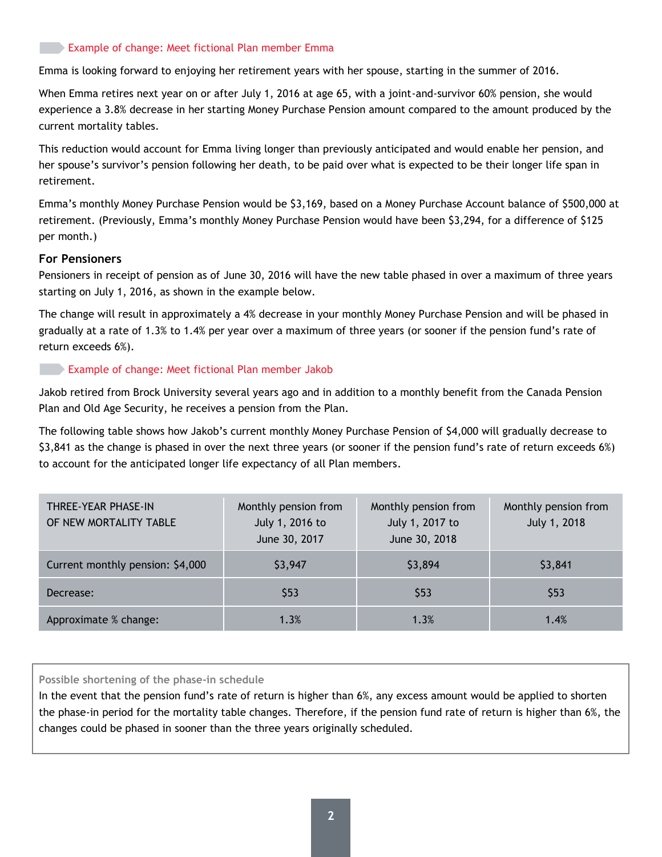#### **Example of change: Meet fictional Plan member Emma**

Emma is looking forward to enjoying her retirement years with her spouse, starting in the summer of 2016.

When Emma retires next year on or after July 1, 2016 at age 65, with a joint-and-survivor 60% pension, she would experience a 3.8% decrease in her starting Money Purchase Pension amount compared to the amount produced by the current mortality tables.

This reduction would account for Emma living longer than previously anticipated and would enable her pension, and her spouse's survivor's pension following her death, to be paid over what is expected to be their longer life span in retirement.

Emma's monthly Money Purchase Pension would be \$3,169, based on a Money Purchase Account balance of \$500,000 at retirement. (Previously, Emma's monthly Money Purchase Pension would have been \$3,294, for a difference of \$125 per month.)

#### **For Pensioners**

Pensioners in receipt of pension as of June 30, 2016 will have the new table phased in over a maximum of three years starting on July 1, 2016, as shown in the example below.

The change will result in approximately a 4% decrease in your monthly Money Purchase Pension and will be phased in gradually at a rate of 1.3% to 1.4% per year over a maximum of three years (or sooner if the pension fund's rate of return exceeds 6%).

#### Example of change: Meet fictional Plan member Jakob

Jakob retired from Brock University several years ago and in addition to a monthly benefit from the Canada Pension Plan and Old Age Security, he receives a pension from the Plan.

The following table shows how Jakob's current monthly Money Purchase Pension of \$4,000 will gradually decrease to \$3,841 as the change is phased in over the next three years (or sooner if the pension fund's rate of return exceeds 6%) to account for the anticipated longer life expectancy of all Plan members.

| THREE-YEAR PHASE-IN<br>OF NEW MORTALITY TABLE | Monthly pension from<br>July 1, 2016 to<br>June 30, 2017 | Monthly pension from<br>July 1, 2017 to<br>June 30, 2018 | Monthly pension from<br>July 1, 2018 |
|-----------------------------------------------|----------------------------------------------------------|----------------------------------------------------------|--------------------------------------|
| Current monthly pension: \$4,000              | \$3,947                                                  | \$3,894                                                  | \$3,841                              |
| Decrease:                                     | \$53                                                     | \$53                                                     | \$53                                 |
| Approximate % change:                         | 1.3%                                                     | 1.3%                                                     | 1.4%                                 |

**Possible shortening of the phase-in schedule**

In the event that the pension fund's rate of return is higher than 6%, any excess amount would be applied to shorten the phase-in period for the mortality table changes. Therefore, if the pension fund rate of return is higher than 6%, the changes could be phased in sooner than the three years originally scheduled.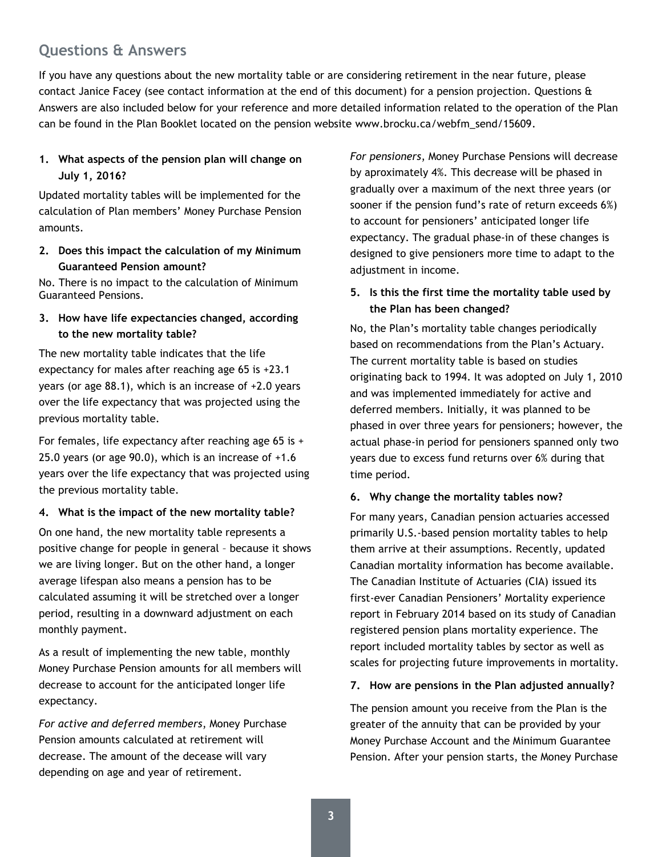## **Questions & Answers**

If you have any questions about the new mortality table or are considering retirement in the near future, please contact Janice Facey (see contact information at the end of this document) for a pension projection. Questions & Answers are also included below for your reference and more detailed information related to the operation of the Plan can be found in the Plan Booklet located on the pension website www.brocku.ca/webfm\_send/15609.

### **1. What aspects of the pension plan will change on July 1, 2016?**

Updated mortality tables will be implemented for the calculation of Plan members' Money Purchase Pension amounts.

**2. Does this impact the calculation of my Minimum Guaranteed Pension amount?**

No. There is no impact to the calculation of Minimum Guaranteed Pensions.

### **3. How have life expectancies changed, according to the new mortality table?**

The new mortality table indicates that the life expectancy for males after reaching age 65 is +23.1 years (or age 88.1), which is an increase of +2.0 years over the life expectancy that was projected using the previous mortality table.

For females, life expectancy after reaching age 65 is + 25.0 years (or age 90.0), which is an increase of +1.6 years over the life expectancy that was projected using the previous mortality table.

#### **4. What is the impact of the new mortality table?**

On one hand, the new mortality table represents a positive change for people in general – because it shows we are living longer. But on the other hand, a longer average lifespan also means a pension has to be calculated assuming it will be stretched over a longer period, resulting in a downward adjustment on each monthly payment.

As a result of implementing the new table, monthly Money Purchase Pension amounts for all members will decrease to account for the anticipated longer life expectancy.

*For active and deferred members*, Money Purchase Pension amounts calculated at retirement will decrease. The amount of the decease will vary depending on age and year of retirement.

*For pensioners*, Money Purchase Pensions will decrease by aproximately 4%. This decrease will be phased in gradually over a maximum of the next three years (or sooner if the pension fund's rate of return exceeds 6%) to account for pensioners' anticipated longer life expectancy. The gradual phase-in of these changes is designed to give pensioners more time to adapt to the adjustment in income.

### **5. Is this the first time the mortality table used by the Plan has been changed?**

No, the Plan's mortality table changes periodically based on recommendations from the Plan's Actuary. The current mortality table is based on studies originating back to 1994. It was adopted on July 1, 2010 and was implemented immediately for active and deferred members. Initially, it was planned to be phased in over three years for pensioners; however, the actual phase-in period for pensioners spanned only two years due to excess fund returns over 6% during that time period.

#### **6. Why change the mortality tables now?**

For many years, Canadian pension actuaries accessed primarily U.S.-based pension mortality tables to help them arrive at their assumptions. Recently, updated Canadian mortality information has become available. The Canadian Institute of Actuaries (CIA) issued its first-ever Canadian Pensioners' Mortality experience report in February 2014 based on its study of Canadian registered pension plans mortality experience. The report included mortality tables by sector as well as scales for projecting future improvements in mortality.

#### **7. How are pensions in the Plan adjusted annually?**

The pension amount you receive from the Plan is the greater of the annuity that can be provided by your Money Purchase Account and the Minimum Guarantee Pension. After your pension starts, the Money Purchase